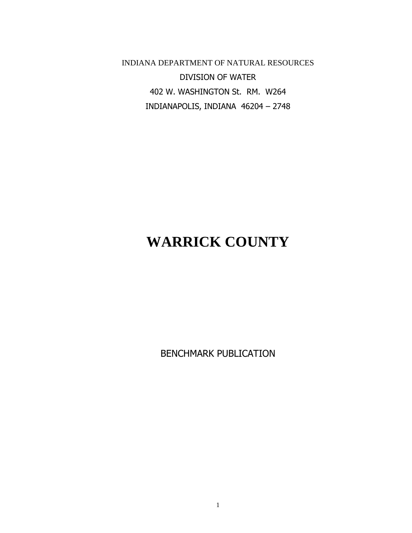INDIANA DEPARTMENT OF NATURAL RESOURCES DIVISION OF WATER 402 W. WASHINGTON St. RM. W264 INDIANAPOLIS, INDIANA 46204 – 2748

# **WARRICK COUNTY**

BENCHMARK PUBLICATION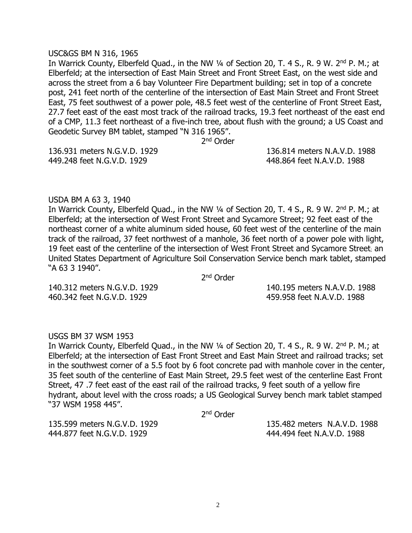## USC&GS BM N 316, 1965

In Warrick County, Elberfeld Quad., in the NW 1/4 of Section 20, T. 4 S., R. 9 W. 2<sup>nd</sup> P. M.; at Elberfeld; at the intersection of East Main Street and Front Street East, on the west side and across the street from a 6 bay Volunteer Fire Department building; set in top of a concrete post, 241 feet north of the centerline of the intersection of East Main Street and Front Street East, 75 feet southwest of a power pole, 48.5 feet west of the centerline of Front Street East, 27.7 feet east of the east most track of the railroad tracks, 19.3 feet northeast of the east end of a CMP, 11.3 feet northeast of a five-inch tree, about flush with the ground; a US Coast and Geodetic Survey BM tablet, stamped "N 316 1965".

2<sup>nd</sup> Order

449.248 feet N.G.V.D. 1929 448.864 feet N.A.V.D. 1988

136.931 meters N.G.V.D. 1929 136.814 meters N.A.V.D. 1988

# USDA BM A 63 3, 1940

In Warrick County, Elberfeld Quad., in the NW 1/4 of Section 20, T. 4 S., R. 9 W. 2<sup>nd</sup> P. M.; at Elberfeld; at the intersection of West Front Street and Sycamore Street; 92 feet east of the northeast corner of a white aluminum sided house, 60 feet west of the centerline of the main track of the railroad, 37 feet northwest of a manhole, 36 feet north of a power pole with light, 19 feet east of the centerline of the intersection of West Front Street and Sycamore Street; an United States Department of Agriculture Soil Conservation Service bench mark tablet, stamped "A 63 3 1940".

2<sup>nd</sup> Order

460.342 feet N.G.V.D. 1929 459.958 feet N.A.V.D. 1988

140.312 meters N.G.V.D. 1929 140.195 meters N.A.V.D. 1988

# USGS BM 37 WSM 1953

In Warrick County, Elberfeld Quad., in the NW 1/4 of Section 20, T. 4 S., R. 9 W. 2<sup>nd</sup> P. M.; at Elberfeld; at the intersection of East Front Street and East Main Street and railroad tracks; set in the southwest corner of a 5.5 foot by 6 foot concrete pad with manhole cover in the center, 35 feet south of the centerline of East Main Street, 29.5 feet west of the centerline East Front Street, 47 .7 feet east of the east rail of the railroad tracks, 9 feet south of a yellow fire hydrant, about level with the cross roads; a US Geological Survey bench mark tablet stamped "37 WSM 1958 445".

2<sup>nd</sup> Order

444.877 feet N.G.V.D. 1929 444.494 feet N.A.V.D. 1988

135.599 meters N.G.V.D. 1929 135.482 meters N.A.V.D. 1988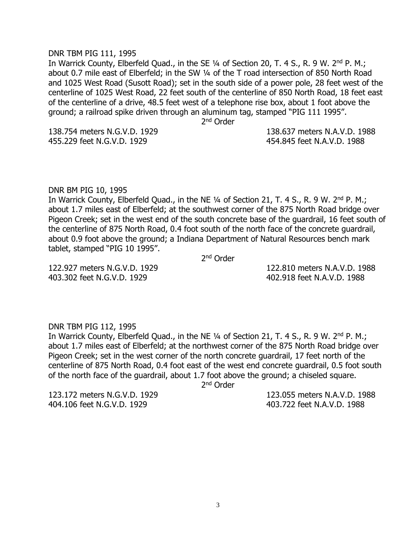# DNR TBM PIG 111, 1995

In Warrick County, Elberfeld Ouad., in the SE 1/4 of Section 20, T, 4 S., R, 9 W, 2<sup>nd</sup> P, M.; about 0.7 mile east of Elberfeld; in the SW ¼ of the T road intersection of 850 North Road and 1025 West Road (Susott Road); set in the south side of a power pole, 28 feet west of the centerline of 1025 West Road, 22 feet south of the centerline of 850 North Road, 18 feet east of the centerline of a drive, 48.5 feet west of a telephone rise box, about 1 foot above the ground; a railroad spike driven through an aluminum tag, stamped "PIG 111 1995".

2<sup>nd</sup> Order

455.229 feet N.G.V.D. 1929 454.845 feet N.A.V.D. 1988

# 138.754 meters N.G.V.D. 1929 138.637 meters N.A.V.D. 1988

# DNR BM PIG 10, 1995

In Warrick County, Elberfeld Quad., in the NE 1/4 of Section 21, T. 4 S., R. 9 W. 2<sup>nd</sup> P. M.; about 1.7 miles east of Elberfeld; at the southwest corner of the 875 North Road bridge over Pigeon Creek; set in the west end of the south concrete base of the guardrail, 16 feet south of the centerline of 875 North Road, 0.4 foot south of the north face of the concrete guardrail, about 0.9 foot above the ground; a Indiana Department of Natural Resources bench mark tablet, stamped "PIG 10 1995".

2<sup>nd</sup> Order

403.302 feet N.G.V.D. 1929 402.918 feet N.A.V.D. 1988

122.927 meters N.G.V.D. 1929 122.810 meters N.A.V.D. 1988

# DNR TBM PIG 112, 1995

In Warrick County, Elberfeld Quad., in the NE 1/4 of Section 21, T. 4 S., R. 9 W. 2<sup>nd</sup> P. M.; about 1.7 miles east of Elberfeld; at the northwest corner of the 875 North Road bridge over Pigeon Creek; set in the west corner of the north concrete guardrail, 17 feet north of the centerline of 875 North Road, 0.4 foot east of the west end concrete guardrail, 0.5 foot south of the north face of the guardrail, about 1.7 foot above the ground; a chiseled square.

2<sup>nd</sup> Order

123.172 meters N.G.V.D. 1929 123.055 meters N.A.V.D. 1988 404.106 feet N.G.V.D. 1929 403.722 feet N.A.V.D. 1988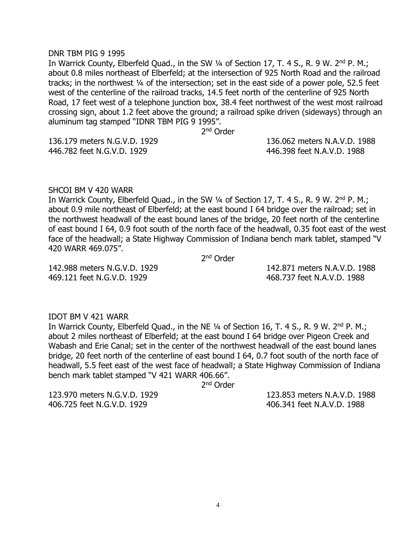#### DNR TBM PIG 9 1995

In Warrick County, Elberfeld Quad., in the SW 1/4 of Section 17, T. 4 S., R. 9 W. 2<sup>nd</sup> P. M.; about 0.8 miles northeast of Elberfeld; at the intersection of 925 North Road and the railroad tracks; in the northwest ¼ of the intersection; set in the east side of a power pole, 52.5 feet west of the centerline of the railroad tracks, 14.5 feet north of the centerline of 925 North Road, 17 feet west of a telephone junction box, 38.4 feet northwest of the west most railroad crossing sign, about 1.2 feet above the ground; a railroad spike driven (sideways) through an aluminum tag stamped "IDNR TBM PIG 9 1995".

2<sup>nd</sup> Order

446.782 feet N.G.V.D. 1929 446.398 feet N.A.V.D. 1988

136.179 meters N.G.V.D. 1929 136.062 meters N.A.V.D. 1988

#### SHCOI BM V 420 WARR

In Warrick County, Elberfeld Quad., in the SW 1/4 of Section 17, T. 4 S., R. 9 W. 2<sup>nd</sup> P. M.; about 0.9 mile northeast of Elberfeld; at the east bound I 64 bridge over the railroad; set in the northwest headwall of the east bound lanes of the bridge, 20 feet north of the centerline of east bound I 64, 0.9 foot south of the north face of the headwall, 0.35 foot east of the west face of the headwall; a State Highway Commission of Indiana bench mark tablet, stamped "V 420 WARR 469.075".

2<sup>nd</sup> Order

469.121 feet N.G.V.D. 1929 468.737 feet N.A.V.D. 1988

142.988 meters N.G.V.D. 1929 142.871 meters N.A.V.D. 1988

# IDOT BM V 421 WARR

In Warrick County, Elberfeld Quad., in the NE 1/4 of Section 16, T. 4 S., R. 9 W. 2<sup>nd</sup> P. M.; about 2 miles northeast of Elberfeld; at the east bound I 64 bridge over Pigeon Creek and Wabash and Erie Canal; set in the center of the northwest headwall of the east bound lanes bridge, 20 feet north of the centerline of east bound I 64, 0.7 foot south of the north face of headwall, 5.5 feet east of the west face of headwall; a State Highway Commission of Indiana bench mark tablet stamped "V 421 WARR 406.66".

2<sup>nd</sup> Order

123.970 meters N.G.V.D. 1929 123.853 meters N.A.V.D. 1988 406.725 feet N.G.V.D. 1929 406.341 feet N.A.V.D. 1988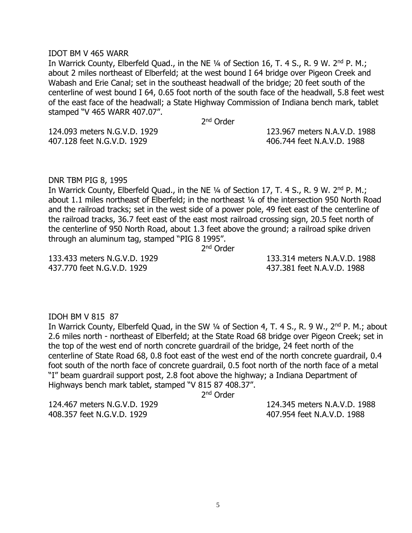#### IDOT BM V 465 WARR

In Warrick County, Elberfeld Quad., in the NE 1/4 of Section 16, T. 4 S., R. 9 W. 2<sup>nd</sup> P. M.; about 2 miles northeast of Elberfeld; at the west bound I 64 bridge over Pigeon Creek and Wabash and Erie Canal; set in the southeast headwall of the bridge; 20 feet south of the centerline of west bound I 64, 0.65 foot north of the south face of the headwall, 5.8 feet west of the east face of the headwall; a State Highway Commission of Indiana bench mark, tablet stamped "V 465 WARR 407.07".

2<sup>nd</sup> Order

124.093 meters N.G.V.D. 1929 123.967 meters N.A.V.D. 1988 407.128 feet N.G.V.D. 1929 406.744 feet N.A.V.D. 1988

DNR TBM PIG 8, 1995

In Warrick County, Elberfeld Quad., in the NE 1/4 of Section 17, T. 4 S., R. 9 W. 2<sup>nd</sup> P. M.; about 1.1 miles northeast of Elberfeld; in the northeast ¼ of the intersection 950 North Road and the railroad tracks; set in the west side of a power pole, 49 feet east of the centerline of the railroad tracks, 36.7 feet east of the east most railroad crossing sign, 20.5 feet north of the centerline of 950 North Road, about 1.3 feet above the ground; a railroad spike driven through an aluminum tag, stamped "PIG 8 1995".

2<sup>nd</sup> Order

437.770 feet N.G.V.D. 1929 437.381 feet N.A.V.D. 1988

133.433 meters N.G.V.D. 1929 133.314 meters N.A.V.D. 1988

# IDOH BM V 815 87

In Warrick County, Elberfeld Quad, in the SW 1/4 of Section 4, T. 4 S., R. 9 W., 2<sup>nd</sup> P. M.; about 2.6 miles north - northeast of Elberfeld; at the State Road 68 bridge over Pigeon Creek; set in the top of the west end of north concrete guardrail of the bridge, 24 feet north of the centerline of State Road 68, 0.8 foot east of the west end of the north concrete guardrail, 0.4 foot south of the north face of concrete guardrail, 0.5 foot north of the north face of a metal "I" beam guardrail support post, 2.8 foot above the highway; a Indiana Department of Highways bench mark tablet, stamped "V 815 87 408.37".

2<sup>nd</sup> Order

408.357 feet N.G.V.D. 1929 407.954 feet N.A.V.D. 1988

124.467 meters N.G.V.D. 1929 124.345 meters N.A.V.D. 1988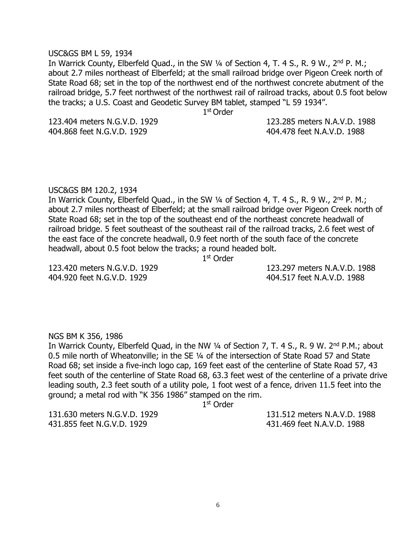#### USC&GS BM L 59, 1934

In Warrick County, Elberfeld Quad., in the SW 1/4 of Section 4, T. 4 S., R. 9 W., 2<sup>nd</sup> P. M.; about 2.7 miles northeast of Elberfeld; at the small railroad bridge over Pigeon Creek north of State Road 68; set in the top of the northwest end of the northwest concrete abutment of the railroad bridge, 5.7 feet northwest of the northwest rail of railroad tracks, about 0.5 foot below the tracks; a U.S. Coast and Geodetic Survey BM tablet, stamped "L 59 1934".

1 st Order

123.404 meters N.G.V.D. 1929 123.285 meters N.A.V.D. 1988 404.868 feet N.G.V.D. 1929 404.478 feet N.A.V.D. 1988

# USC&GS BM 120.2, 1934

In Warrick County, Elberfeld Quad., in the SW 1/4 of Section 4, T. 4 S., R. 9 W., 2<sup>nd</sup> P. M.; about 2.7 miles northeast of Elberfeld; at the small railroad bridge over Pigeon Creek north of State Road 68; set in the top of the southeast end of the northeast concrete headwall of railroad bridge. 5 feet southeast of the southeast rail of the railroad tracks, 2.6 feet west of the east face of the concrete headwall, 0.9 feet north of the south face of the concrete headwall, about 0.5 foot below the tracks; a round headed bolt.

1 st Order

404.920 feet N.G.V.D. 1929 404.517 feet N.A.V.D. 1988

123.420 meters N.G.V.D. 1929 123.297 meters N.A.V.D. 1988

NGS BM K 356, 1986

In Warrick County, Elberfeld Quad, in the NW 1/4 of Section 7, T. 4 S., R. 9 W. 2<sup>nd</sup> P.M.; about 0.5 mile north of Wheatonville; in the SE ¼ of the intersection of State Road 57 and State Road 68; set inside a five-inch logo cap, 169 feet east of the centerline of State Road 57, 43 feet south of the centerline of State Road 68, 63.3 feet west of the centerline of a private drive leading south, 2.3 feet south of a utility pole, 1 foot west of a fence, driven 11.5 feet into the ground; a metal rod with "K 356 1986" stamped on the rim.

1 st Order

431.855 feet N.G.V.D. 1929 431.469 feet N.A.V.D. 1988

131.630 meters N.G.V.D. 1929 131.512 meters N.A.V.D. 1988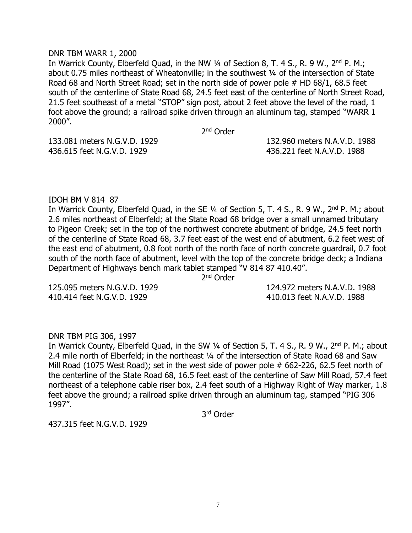# DNR TBM WARR 1, 2000

In Warrick County, Elberfeld Quad, in the NW 1/4 of Section 8, T. 4 S., R. 9 W., 2<sup>nd</sup> P. M.; about 0.75 miles northeast of Wheatonville; in the southwest 1/4 of the intersection of State Road 68 and North Street Road; set in the north side of power pole # HD 68/1, 68.5 feet south of the centerline of State Road 68, 24.5 feet east of the centerline of North Street Road, 21.5 feet southeast of a metal "STOP" sign post, about 2 feet above the level of the road, 1 foot above the ground; a railroad spike driven through an aluminum tag, stamped "WARR 1 2000".

2<sup>nd</sup> Order

436.615 feet N.G.V.D. 1929 436.221 feet N.A.V.D. 1988

133.081 meters N.G.V.D. 1929 132.960 meters N.A.V.D. 1988

# IDOH BM V 814 87

In Warrick County, Elberfeld Quad, in the SE 1/4 of Section 5, T. 4 S., R. 9 W., 2<sup>nd</sup> P. M.; about 2.6 miles northeast of Elberfeld; at the State Road 68 bridge over a small unnamed tributary to Pigeon Creek; set in the top of the northwest concrete abutment of bridge, 24.5 feet north of the centerline of State Road 68, 3.7 feet east of the west end of abutment, 6.2 feet west of the east end of abutment, 0.8 foot north of the north face of north concrete guardrail, 0.7 foot south of the north face of abutment, level with the top of the concrete bridge deck; a Indiana Department of Highways bench mark tablet stamped "V 814 87 410.40".

2<sup>nd</sup> Order

410.414 feet N.G.V.D. 1929 410.013 feet N.A.V.D. 1988

125.095 meters N.G.V.D. 1929 124.972 meters N.A.V.D. 1988

# DNR TBM PIG 306, 1997

In Warrick County, Elberfeld Quad, in the SW 1/4 of Section 5, T. 4 S., R. 9 W., 2<sup>nd</sup> P. M.; about 2.4 mile north of Elberfeld; in the northeast ¼ of the intersection of State Road 68 and Saw Mill Road (1075 West Road); set in the west side of power pole # 662-226, 62.5 feet north of the centerline of the State Road 68, 16.5 feet east of the centerline of Saw Mill Road, 57.4 feet northeast of a telephone cable riser box, 2.4 feet south of a Highway Right of Way marker, 1.8 feet above the ground; a railroad spike driven through an aluminum tag, stamped "PIG 306 1997".

3 rd Order

437.315 feet N.G.V.D. 1929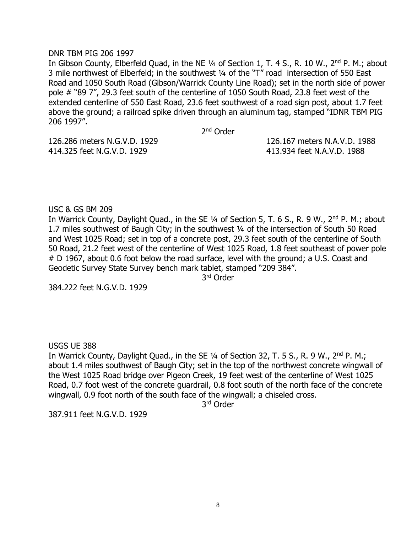# DNR TBM PIG 206 1997

In Gibson County, Elberfeld Quad, in the NE 1/4 of Section 1, T. 4 S., R. 10 W., 2<sup>nd</sup> P. M.; about 3 mile northwest of Elberfeld; in the southwest ¼ of the "T" road intersection of 550 East Road and 1050 South Road (Gibson/Warrick County Line Road); set in the north side of power pole # "89 7", 29.3 feet south of the centerline of 1050 South Road, 23.8 feet west of the extended centerline of 550 East Road, 23.6 feet southwest of a road sign post, about 1.7 feet above the ground; a railroad spike driven through an aluminum tag, stamped "IDNR TBM PIG 206 1997".

2<sup>nd</sup> Order

414.325 feet N.G.V.D. 1929 413.934 feet N.A.V.D. 1988

126.286 meters N.G.V.D. 1929 126.167 meters N.A.V.D. 1988

USC & GS BM 209

In Warrick County, Daylight Quad., in the SE 1/4 of Section 5, T. 6 S., R. 9 W., 2<sup>nd</sup> P. M.; about 1.7 miles southwest of Baugh City; in the southwest ¼ of the intersection of South 50 Road and West 1025 Road; set in top of a concrete post, 29.3 feet south of the centerline of South 50 Road, 21.2 feet west of the centerline of West 1025 Road, 1.8 feet southeast of power pole # D 1967, about 0.6 foot below the road surface, level with the ground; a U.S. Coast and Geodetic Survey State Survey bench mark tablet, stamped "209 384".

3 rd Order

384.222 feet N.G.V.D. 1929

USGS UE 388

In Warrick County, Daylight Quad., in the SE 1/4 of Section 32, T. 5 S., R. 9 W., 2<sup>nd</sup> P. M.; about 1.4 miles southwest of Baugh City; set in the top of the northwest concrete wingwall of the West 1025 Road bridge over Pigeon Creek, 19 feet west of the centerline of West 1025 Road, 0.7 foot west of the concrete guardrail, 0.8 foot south of the north face of the concrete wingwall, 0.9 foot north of the south face of the wingwall; a chiseled cross.

3 rd Order

387.911 feet N.G.V.D. 1929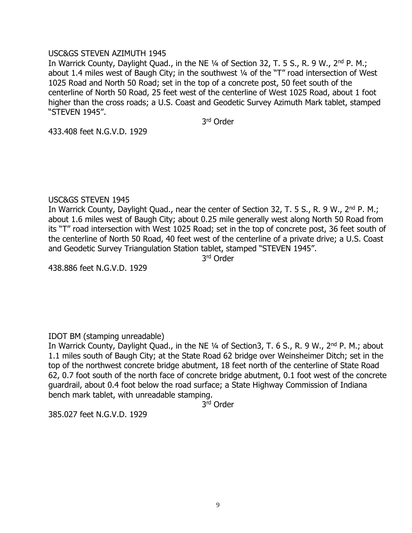# USC&GS STEVEN AZIMUTH 1945

In Warrick County, Daylight Quad., in the NE 1/4 of Section 32, T. 5 S., R. 9 W., 2<sup>nd</sup> P. M.; about 1.4 miles west of Baugh City; in the southwest ¼ of the "T" road intersection of West 1025 Road and North 50 Road; set in the top of a concrete post, 50 feet south of the centerline of North 50 Road, 25 feet west of the centerline of West 1025 Road, about 1 foot higher than the cross roads; a U.S. Coast and Geodetic Survey Azimuth Mark tablet, stamped "STEVEN 1945".

3 rd Order

433.408 feet N.G.V.D. 1929

# USC&GS STEVEN 1945

In Warrick County, Daylight Quad., near the center of Section 32, T. 5 S., R. 9 W., 2<sup>nd</sup> P. M.; about 1.6 miles west of Baugh City; about 0.25 mile generally west along North 50 Road from its "T" road intersection with West 1025 Road; set in the top of concrete post, 36 feet south of the centerline of North 50 Road, 40 feet west of the centerline of a private drive; a U.S. Coast and Geodetic Survey Triangulation Station tablet, stamped "STEVEN 1945".

3 rd Order

438.886 feet N.G.V.D. 1929

# IDOT BM (stamping unreadable)

In Warrick County, Daylight Quad., in the NE 1/4 of Section3, T. 6 S., R. 9 W., 2<sup>nd</sup> P. M.; about 1.1 miles south of Baugh City; at the State Road 62 bridge over Weinsheimer Ditch; set in the top of the northwest concrete bridge abutment, 18 feet north of the centerline of State Road 62, 0.7 foot south of the north face of concrete bridge abutment, 0.1 foot west of the concrete guardrail, about 0.4 foot below the road surface; a State Highway Commission of Indiana bench mark tablet, with unreadable stamping.

3 rd Order

385.027 feet N.G.V.D. 1929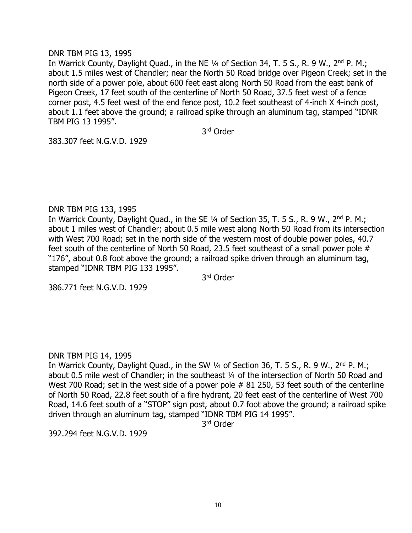# DNR TBM PIG 13, 1995

In Warrick County, Daylight Quad., in the NE 1/4 of Section 34, T. 5 S., R. 9 W., 2<sup>nd</sup> P. M.; about 1.5 miles west of Chandler; near the North 50 Road bridge over Pigeon Creek; set in the north side of a power pole, about 600 feet east along North 50 Road from the east bank of Pigeon Creek, 17 feet south of the centerline of North 50 Road, 37.5 feet west of a fence corner post, 4.5 feet west of the end fence post, 10.2 feet southeast of 4-inch X 4-inch post, about 1.1 feet above the ground; a railroad spike through an aluminum tag, stamped "IDNR TBM PIG 13 1995".

3 rd Order

383.307 feet N.G.V.D. 1929

# DNR TBM PIG 133, 1995

In Warrick County, Daylight Quad., in the SE 1/4 of Section 35, T. 5 S., R. 9 W., 2<sup>nd</sup> P. M.; about 1 miles west of Chandler; about 0.5 mile west along North 50 Road from its intersection with West 700 Road; set in the north side of the western most of double power poles, 40.7 feet south of the centerline of North 50 Road, 23.5 feet southeast of a small power pole # "176", about 0.8 foot above the ground; a railroad spike driven through an aluminum tag, stamped "IDNR TBM PIG 133 1995".

3 rd Order

386.771 feet N.G.V.D. 1929

# DNR TBM PIG 14, 1995

In Warrick County, Daylight Quad., in the SW 1/4 of Section 36, T. 5 S., R. 9 W., 2<sup>nd</sup> P. M.; about 0.5 mile west of Chandler; in the southeast 1/4 of the intersection of North 50 Road and West 700 Road; set in the west side of a power pole # 81 250, 53 feet south of the centerline of North 50 Road, 22.8 feet south of a fire hydrant, 20 feet east of the centerline of West 700 Road, 14.6 feet south of a "STOP" sign post, about 0.7 foot above the ground; a railroad spike driven through an aluminum tag, stamped "IDNR TBM PIG 14 1995".

3 rd Order

392.294 feet N.G.V.D. 1929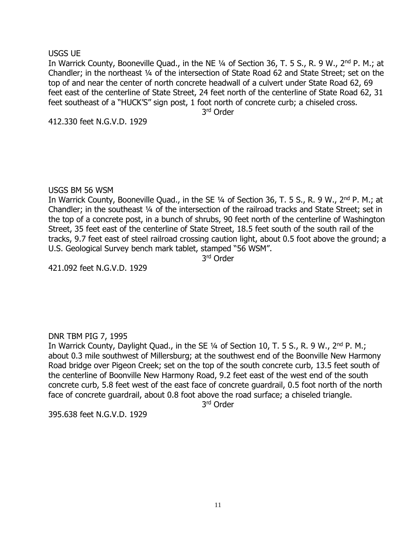# USGS UE

In Warrick County, Booneville Quad., in the NE 1/4 of Section 36, T. 5 S., R. 9 W., 2<sup>nd</sup> P. M.; at Chandler; in the northeast ¼ of the intersection of State Road 62 and State Street; set on the top of and near the center of north concrete headwall of a culvert under State Road 62, 69 feet east of the centerline of State Street, 24 feet north of the centerline of State Road 62, 31 feet southeast of a "HUCK'S" sign post, 1 foot north of concrete curb; a chiseled cross.

3 rd Order

412.330 feet N.G.V.D. 1929

# USGS BM 56 WSM

In Warrick County, Booneville Quad., in the SE 1/4 of Section 36, T. 5 S., R. 9 W., 2<sup>nd</sup> P. M.; at Chandler; in the southeast ¼ of the intersection of the railroad tracks and State Street; set in the top of a concrete post, in a bunch of shrubs, 90 feet north of the centerline of Washington Street, 35 feet east of the centerline of State Street, 18.5 feet south of the south rail of the tracks, 9.7 feet east of steel railroad crossing caution light, about 0.5 foot above the ground; a U.S. Geological Survey bench mark tablet, stamped "56 WSM".

3 rd Order

421.092 feet N.G.V.D. 1929

# DNR TBM PIG 7, 1995

In Warrick County, Daylight Quad., in the SE 1/4 of Section 10, T. 5 S., R. 9 W., 2<sup>nd</sup> P. M.; about 0.3 mile southwest of Millersburg; at the southwest end of the Boonville New Harmony Road bridge over Pigeon Creek; set on the top of the south concrete curb, 13.5 feet south of the centerline of Boonville New Harmony Road, 9.2 feet east of the west end of the south concrete curb, 5.8 feet west of the east face of concrete guardrail, 0.5 foot north of the north face of concrete guardrail, about 0.8 foot above the road surface; a chiseled triangle.

3 rd Order

395.638 feet N.G.V.D. 1929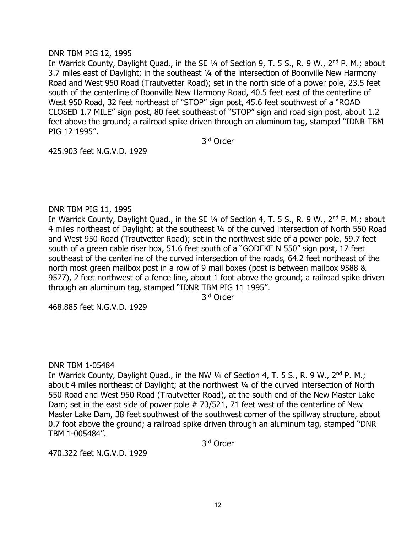# DNR TBM PIG 12, 1995

In Warrick County, Daylight Quad., in the SE 1/4 of Section 9, T. 5 S., R. 9 W., 2<sup>nd</sup> P. M.; about 3.7 miles east of Daylight; in the southeast ¼ of the intersection of Boonville New Harmony Road and West 950 Road (Trautvetter Road); set in the north side of a power pole, 23.5 feet south of the centerline of Boonville New Harmony Road, 40.5 feet east of the centerline of West 950 Road, 32 feet northeast of "STOP" sign post, 45.6 feet southwest of a "ROAD CLOSED 1.7 MILE" sign post, 80 feet southeast of "STOP" sign and road sign post, about 1.2 feet above the ground; a railroad spike driven through an aluminum tag, stamped "IDNR TBM PIG 12 1995".

3 rd Order

425.903 feet N.G.V.D. 1929

# DNR TBM PIG 11, 1995

In Warrick County, Daylight Quad., in the SE 1/4 of Section 4, T. 5 S., R. 9 W., 2<sup>nd</sup> P. M.; about 4 miles northeast of Daylight; at the southeast ¼ of the curved intersection of North 550 Road and West 950 Road (Trautvetter Road); set in the northwest side of a power pole, 59.7 feet south of a green cable riser box, 51.6 feet south of a "GODEKE N 550" sign post, 17 feet southeast of the centerline of the curved intersection of the roads, 64.2 feet northeast of the north most green mailbox post in a row of 9 mail boxes (post is between mailbox 9588 & 9577), 2 feet northwest of a fence line, about 1 foot above the ground; a railroad spike driven through an aluminum tag, stamped "IDNR TBM PIG 11 1995".

3 rd Order

468.885 feet N.G.V.D. 1929

# DNR TBM 1-05484

In Warrick County, Daylight Quad., in the NW 1/4 of Section 4, T. 5 S., R. 9 W., 2<sup>nd</sup> P. M.; about 4 miles northeast of Daylight; at the northwest 1/4 of the curved intersection of North 550 Road and West 950 Road (Trautvetter Road), at the south end of the New Master Lake Dam; set in the east side of power pole # 73/521, 71 feet west of the centerline of New Master Lake Dam, 38 feet southwest of the southwest corner of the spillway structure, about 0.7 foot above the ground; a railroad spike driven through an aluminum tag, stamped "DNR TBM 1-005484".

3 rd Order

470.322 feet N.G.V.D. 1929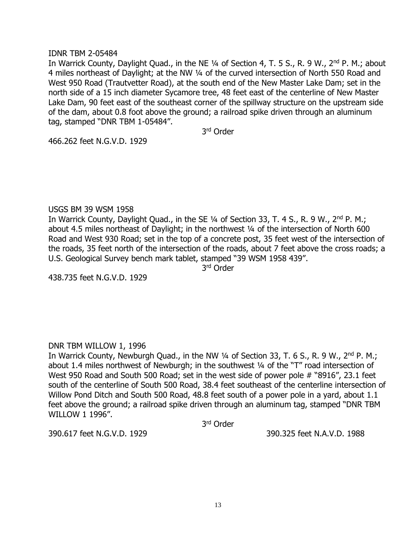# IDNR TBM 2-05484

In Warrick County, Daylight Quad., in the NE 1/4 of Section 4, T. 5 S., R. 9 W., 2<sup>nd</sup> P. M.; about 4 miles northeast of Daylight; at the NW ¼ of the curved intersection of North 550 Road and West 950 Road (Trautvetter Road), at the south end of the New Master Lake Dam; set in the north side of a 15 inch diameter Sycamore tree, 48 feet east of the centerline of New Master Lake Dam, 90 feet east of the southeast corner of the spillway structure on the upstream side of the dam, about 0.8 foot above the ground; a railroad spike driven through an aluminum tag, stamped "DNR TBM 1-05484".

3 rd Order

466.262 feet N.G.V.D. 1929

# USGS BM 39 WSM 1958

In Warrick County, Daylight Quad., in the SE 1/4 of Section 33, T. 4 S., R. 9 W., 2<sup>nd</sup> P. M.; about 4.5 miles northeast of Daylight; in the northwest ¼ of the intersection of North 600 Road and West 930 Road; set in the top of a concrete post, 35 feet west of the intersection of the roads, 35 feet north of the intersection of the roads, about 7 feet above the cross roads; a U.S. Geological Survey bench mark tablet, stamped "39 WSM 1958 439".

3 rd Order

438.735 feet N.G.V.D. 1929

# DNR TBM WILLOW 1, 1996

In Warrick County, Newburgh Quad., in the NW 1/4 of Section 33, T. 6 S., R. 9 W., 2<sup>nd</sup> P. M.; about 1.4 miles northwest of Newburgh; in the southwest ¼ of the "T" road intersection of West 950 Road and South 500 Road; set in the west side of power pole # "8916", 23.1 feet south of the centerline of South 500 Road, 38.4 feet southeast of the centerline intersection of Willow Pond Ditch and South 500 Road, 48.8 feet south of a power pole in a yard, about 1.1 feet above the ground; a railroad spike driven through an aluminum tag, stamped "DNR TBM WILLOW 1 1996".

3 rd Order

390.617 feet N.G.V.D. 1929 390.325 feet N.A.V.D. 1988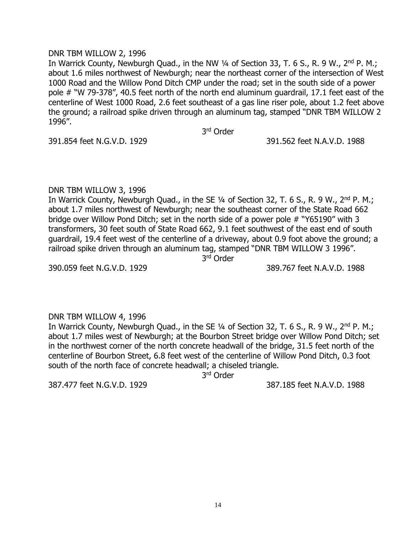# DNR TBM WILLOW 2, 1996

In Warrick County, Newburgh Quad., in the NW 1/4 of Section 33, T. 6 S., R. 9 W., 2<sup>nd</sup> P. M.; about 1.6 miles northwest of Newburgh; near the northeast corner of the intersection of West 1000 Road and the Willow Pond Ditch CMP under the road; set in the south side of a power pole # "W 79-378", 40.5 feet north of the north end aluminum guardrail, 17.1 feet east of the centerline of West 1000 Road, 2.6 feet southeast of a gas line riser pole, about 1.2 feet above the ground; a railroad spike driven through an aluminum tag, stamped "DNR TBM WILLOW 2 1996".

3 rd Order

391.854 feet N.G.V.D. 1929 391.562 feet N.A.V.D. 1988

# DNR TBM WILLOW 3, 1996

In Warrick County, Newburgh Quad., in the SE 1/4 of Section 32, T. 6 S., R. 9 W., 2<sup>nd</sup> P. M.; about 1.7 miles northwest of Newburgh; near the southeast corner of the State Road 662 bridge over Willow Pond Ditch; set in the north side of a power pole # "Y65190" with 3 transformers, 30 feet south of State Road 662, 9.1 feet southwest of the east end of south guardrail, 19.4 feet west of the centerline of a driveway, about 0.9 foot above the ground; a railroad spike driven through an aluminum tag, stamped "DNR TBM WILLOW 3 1996".

3 rd Order

390.059 feet N.G.V.D. 1929 389.767 feet N.A.V.D. 1988

DNR TBM WILLOW 4, 1996 In Warrick County, Newburgh Quad., in the SE 1/4 of Section 32, T. 6 S., R. 9 W., 2<sup>nd</sup> P. M.; about 1.7 miles west of Newburgh; at the Bourbon Street bridge over Willow Pond Ditch; set in the northwest corner of the north concrete headwall of the bridge, 31.5 feet north of the centerline of Bourbon Street, 6.8 feet west of the centerline of Willow Pond Ditch, 0.3 foot south of the north face of concrete headwall; a chiseled triangle.

3 rd Order

387.477 feet N.G.V.D. 1929 387.185 feet N.A.V.D. 1988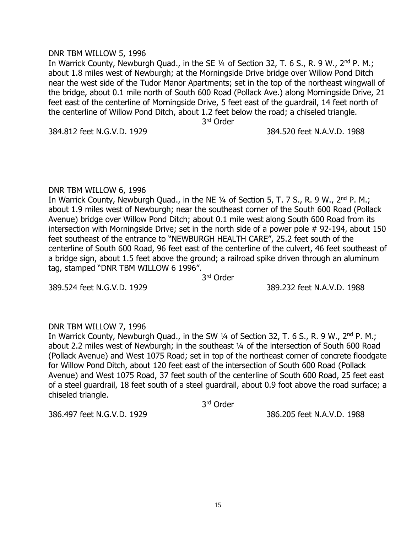# DNR TBM WILLOW 5, 1996

In Warrick County, Newburgh Quad., in the SE 1/4 of Section 32, T. 6 S., R. 9 W., 2<sup>nd</sup> P. M.; about 1.8 miles west of Newburgh; at the Morningside Drive bridge over Willow Pond Ditch near the west side of the Tudor Manor Apartments; set in the top of the northeast wingwall of the bridge, about 0.1 mile north of South 600 Road (Pollack Ave.) along Morningside Drive, 21 feet east of the centerline of Morningside Drive, 5 feet east of the guardrail, 14 feet north of the centerline of Willow Pond Ditch, about 1.2 feet below the road; a chiseled triangle.

3 rd Order

# 384.812 feet N.G.V.D. 1929 384.520 feet N.A.V.D. 1988

# DNR TBM WILLOW 6, 1996

In Warrick County, Newburgh Quad., in the NE 1/4 of Section 5, T. 7 S., R. 9 W., 2<sup>nd</sup> P. M.; about 1.9 miles west of Newburgh; near the southeast corner of the South 600 Road (Pollack Avenue) bridge over Willow Pond Ditch; about 0.1 mile west along South 600 Road from its intersection with Morningside Drive; set in the north side of a power pole #92-194, about 150 feet southeast of the entrance to "NEWBURGH HEALTH CARE", 25.2 feet south of the centerline of South 600 Road, 96 feet east of the centerline of the culvert, 46 feet southeast of a bridge sign, about 1.5 feet above the ground; a railroad spike driven through an aluminum tag, stamped "DNR TBM WILLOW 6 1996".

3 rd Order

389.524 feet N.G.V.D. 1929 389.232 feet N.A.V.D. 1988

# DNR TBM WILLOW 7, 1996

In Warrick County, Newburgh Quad., in the SW 1/4 of Section 32, T. 6 S., R. 9 W., 2<sup>nd</sup> P. M.; about 2.2 miles west of Newburgh; in the southeast ¼ of the intersection of South 600 Road (Pollack Avenue) and West 1075 Road; set in top of the northeast corner of concrete floodgate for Willow Pond Ditch, about 120 feet east of the intersection of South 600 Road (Pollack Avenue) and West 1075 Road, 37 feet south of the centerline of South 600 Road, 25 feet east of a steel guardrail, 18 feet south of a steel guardrail, about 0.9 foot above the road surface; a chiseled triangle.

3 rd Order

386.497 feet N.G.V.D. 1929 386.205 feet N.A.V.D. 1988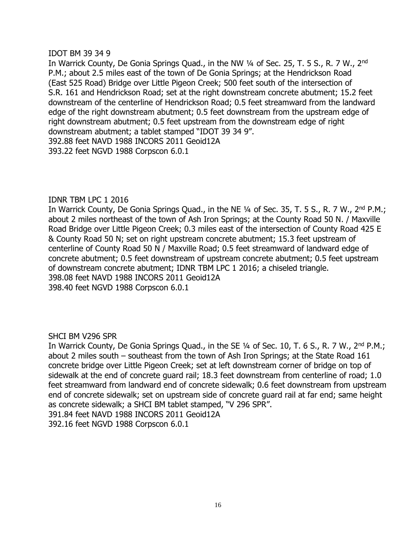# IDOT BM 39 34 9

In Warrick County, De Gonia Springs Quad., in the NW 1/4 of Sec. 25, T. 5 S., R. 7 W., 2<sup>nd</sup> P.M.; about 2.5 miles east of the town of De Gonia Springs; at the Hendrickson Road (East 525 Road) Bridge over Little Pigeon Creek; 500 feet south of the intersection of S.R. 161 and Hendrickson Road; set at the right downstream concrete abutment; 15.2 feet downstream of the centerline of Hendrickson Road; 0.5 feet streamward from the landward edge of the right downstream abutment; 0.5 feet downstream from the upstream edge of right downstream abutment; 0.5 feet upstream from the downstream edge of right downstream abutment; a tablet stamped "IDOT 39 34 9". 392.88 feet NAVD 1988 INCORS 2011 Geoid12A 393.22 feet NGVD 1988 Corpscon 6.0.1

# IDNR TBM LPC 1 2016

In Warrick County, De Gonia Springs Quad., in the NE 1/4 of Sec. 35, T. 5 S., R. 7 W., 2<sup>nd</sup> P.M.; about 2 miles northeast of the town of Ash Iron Springs; at the County Road 50 N. / Maxville Road Bridge over Little Pigeon Creek; 0.3 miles east of the intersection of County Road 425 E & County Road 50 N; set on right upstream concrete abutment; 15.3 feet upstream of centerline of County Road 50 N / Maxville Road; 0.5 feet streamward of landward edge of concrete abutment; 0.5 feet downstream of upstream concrete abutment; 0.5 feet upstream of downstream concrete abutment; IDNR TBM LPC 1 2016; a chiseled triangle. 398.08 feet NAVD 1988 INCORS 2011 Geoid12A 398.40 feet NGVD 1988 Corpscon 6.0.1

# SHCI BM V296 SPR

In Warrick County, De Gonia Springs Quad., in the SE 1/4 of Sec. 10, T. 6 S., R. 7 W., 2<sup>nd</sup> P.M.; about 2 miles south – southeast from the town of Ash Iron Springs; at the State Road 161 concrete bridge over Little Pigeon Creek; set at left downstream corner of bridge on top of sidewalk at the end of concrete guard rail; 18.3 feet downstream from centerline of road; 1.0 feet streamward from landward end of concrete sidewalk; 0.6 feet downstream from upstream end of concrete sidewalk; set on upstream side of concrete guard rail at far end; same height as concrete sidewalk; a SHCI BM tablet stamped, "V 296 SPR".

391.84 feet NAVD 1988 INCORS 2011 Geoid12A

392.16 feet NGVD 1988 Corpscon 6.0.1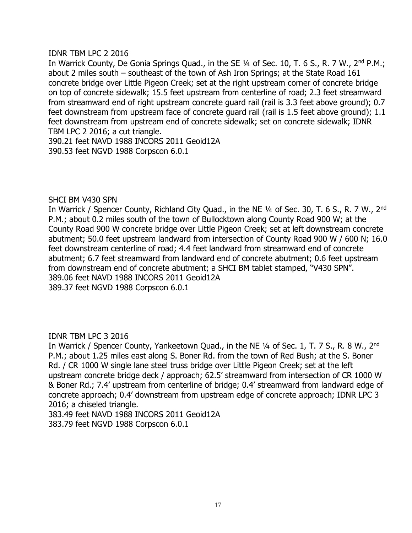# IDNR TBM LPC 2 2016

In Warrick County, De Gonia Springs Quad., in the SE 1/4 of Sec. 10, T. 6 S., R. 7 W., 2<sup>nd</sup> P.M.; about 2 miles south – southeast of the town of Ash Iron Springs; at the State Road 161 concrete bridge over Little Pigeon Creek; set at the right upstream corner of concrete bridge on top of concrete sidewalk; 15.5 feet upstream from centerline of road; 2.3 feet streamward from streamward end of right upstream concrete guard rail (rail is 3.3 feet above ground); 0.7 feet downstream from upstream face of concrete guard rail (rail is 1.5 feet above ground); 1.1 feet downstream from upstream end of concrete sidewalk; set on concrete sidewalk; IDNR TBM LPC 2 2016; a cut triangle.

390.21 feet NAVD 1988 INCORS 2011 Geoid12A 390.53 feet NGVD 1988 Corpscon 6.0.1

# SHCI BM V430 SPN

In Warrick / Spencer County, Richland City Quad., in the NE 1/4 of Sec. 30, T. 6 S., R. 7 W., 2<sup>nd</sup> P.M.; about 0.2 miles south of the town of Bullocktown along County Road 900 W; at the County Road 900 W concrete bridge over Little Pigeon Creek; set at left downstream concrete abutment; 50.0 feet upstream landward from intersection of County Road 900 W / 600 N; 16.0 feet downstream centerline of road; 4.4 feet landward from streamward end of concrete abutment; 6.7 feet streamward from landward end of concrete abutment; 0.6 feet upstream from downstream end of concrete abutment; a SHCI BM tablet stamped, "V430 SPN". 389.06 feet NAVD 1988 INCORS 2011 Geoid12A 389.37 feet NGVD 1988 Corpscon 6.0.1

# IDNR TBM LPC 3 2016

In Warrick / Spencer County, Yankeetown Quad., in the NE 1/4 of Sec. 1, T. 7 S., R. 8 W., 2<sup>nd</sup> P.M.; about 1.25 miles east along S. Boner Rd. from the town of Red Bush; at the S. Boner Rd. / CR 1000 W single lane steel truss bridge over Little Pigeon Creek; set at the left upstream concrete bridge deck / approach; 62.5' streamward from intersection of CR 1000 W & Boner Rd.; 7.4' upstream from centerline of bridge; 0.4' streamward from landward edge of concrete approach; 0.4' downstream from upstream edge of concrete approach; IDNR LPC 3 2016; a chiseled triangle.

383.49 feet NAVD 1988 INCORS 2011 Geoid12A 383.79 feet NGVD 1988 Corpscon 6.0.1